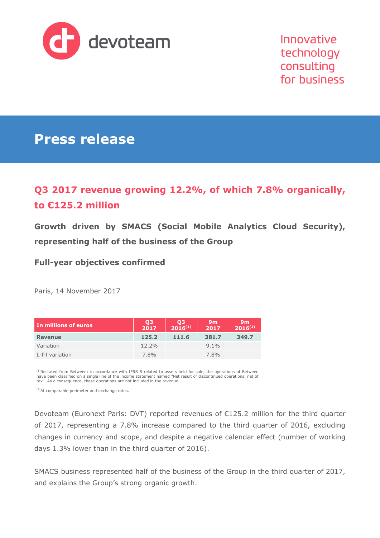

Innovative technology consulting for business

# **Press release**

## **Q3 2017 revenue growing 12.2%, of which 7.8% organically, to €125.2 million**

**Growth driven by SMACS (Social Mobile Analytics Cloud Security), representing half of the business of the Group**

## **Full-year objectives confirmed**

Paris, 14 November 2017

| In millions of euros | Q <sub>3</sub><br>2017 | Q <sub>3</sub><br>$2016^{(1)}$ | 9m<br>2017 | 9m<br>$2016^{(1)}$ |
|----------------------|------------------------|--------------------------------|------------|--------------------|
| <b>Revenue</b>       | 125.2                  | 111.6                          | 381.7      | 349.7              |
| Variation            | $12.2\%$               |                                | $9.1\%$    |                    |
| L-f-I variation      | $7.8\%$                |                                | $7.8\%$    |                    |

<sup>(1)</sup>Restated from Between: in accordance with IFRS 5 related to assets held for sale, the operations of Between have been classified on a single line of the income statement named "Net result of discontinued operations, net of tax". As a consequence, these operations are not included in the revenue.

(2)At comparable perimeter and exchange rates.

Devoteam (Euronext Paris: DVT) reported revenues of €125.2 million for the third quarter of 2017, representing a 7.8% increase compared to the third quarter of 2016, excluding changes in currency and scope, and despite a negative calendar effect (number of working days 1.3% lower than in the third quarter of 2016).

SMACS business represented half of the business of the Group in the third quarter of 2017, and explains the Group's strong organic growth.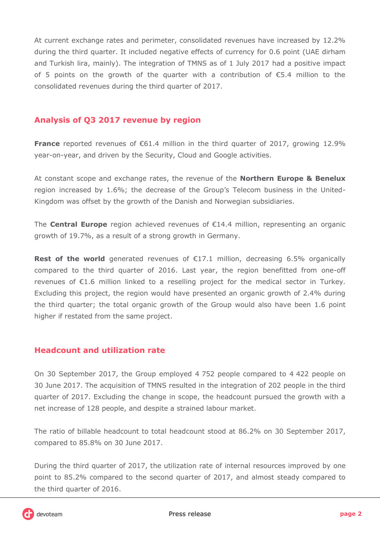At current exchange rates and perimeter, consolidated revenues have increased by 12.2% during the third quarter. It included negative effects of currency for 0.6 point (UAE dirham and Turkish lira, mainly). The integration of TMNS as of 1 July 2017 had a positive impact of 5 points on the growth of the quarter with a contribution of  $\epsilon$ 5.4 million to the consolidated revenues during the third quarter of 2017.

## **Analysis of Q3 2017 revenue by region**

**France** reported revenues of €61.4 million in the third quarter of 2017, growing 12.9% year-on-year, and driven by the Security, Cloud and Google activities.

At constant scope and exchange rates, the revenue of the **Northern Europe & Benelux** region increased by 1.6%; the decrease of the Group's Telecom business in the United-Kingdom was offset by the growth of the Danish and Norwegian subsidiaries.

The **Central Europe** region achieved revenues of €14.4 million, representing an organic growth of 19.7%, as a result of a strong growth in Germany.

**Rest of the world** generated revenues of €17.1 million, decreasing 6.5% organically compared to the third quarter of 2016. Last year, the region benefitted from one-off revenues of €1.6 million linked to a reselling project for the medical sector in Turkey. Excluding this project, the region would have presented an organic growth of 2.4% during the third quarter; the total organic growth of the Group would also have been 1.6 point higher if restated from the same project.

### **Headcount and utilization rate**

On 30 September 2017, the Group employed 4 752 people compared to 4 422 people on 30 June 2017. The acquisition of TMNS resulted in the integration of 202 people in the third quarter of 2017. Excluding the change in scope, the headcount pursued the growth with a net increase of 128 people, and despite a strained labour market.

The ratio of billable headcount to total headcount stood at 86.2% on 30 September 2017, compared to 85.8% on 30 June 2017.

During the third quarter of 2017, the utilization rate of internal resources improved by one point to 85.2% compared to the second quarter of 2017, and almost steady compared to the third quarter of 2016.

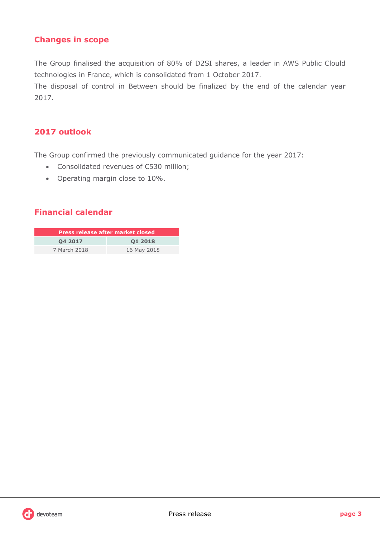## **Changes in scope**

The Group finalised the acquisition of 80% of D2SI shares, a leader in AWS Public Clould technologies in France, which is consolidated from 1 October 2017.

The disposal of control in Between should be finalized by the end of the calendar year 2017.

## **2017 outlook**

The Group confirmed the previously communicated guidance for the year 2017:

- Consolidated revenues of €530 million;
- Operating margin close to 10%.

## **Financial calendar**

| <b>Press release after market closed</b> |             |  |  |  |
|------------------------------------------|-------------|--|--|--|
| 04 2017<br>01 2018                       |             |  |  |  |
| 7 March 2018                             | 16 May 2018 |  |  |  |

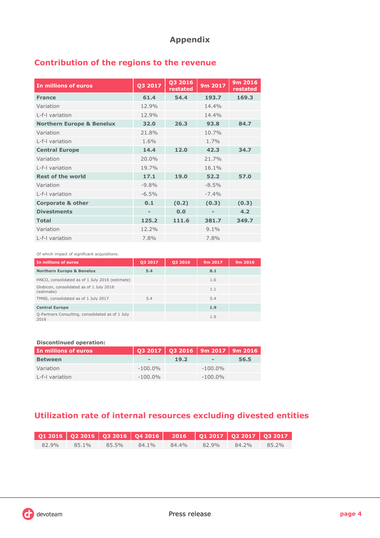## **Appendix**

## **Contribution of the regions to the revenue**

| In millions of euros                 | Q3 2017 | Q3 2016<br>restated | 9m 2017 | $9m$ 2016<br>restated |
|--------------------------------------|---------|---------------------|---------|-----------------------|
| <b>France</b>                        | 61.4    | 54.4                | 193.7   | 169.3                 |
| Variation                            | 12.9%   |                     | 14.4%   |                       |
| L-f-I variation                      | 12.9%   |                     | 14.4%   |                       |
| <b>Northern Europe &amp; Benelux</b> | 32.0    | 26.3                | 93.8    | 84.7                  |
| Variation                            | 21.8%   |                     | 10.7%   |                       |
| L-f-I variation                      | 1.6%    |                     | 1.7%    |                       |
| <b>Central Europe</b>                | 14.4    | 12.0                | 42.3    | 34.7                  |
| Variation                            | 20.0%   |                     | 21.7%   |                       |
| L-f-I variation                      | 19.7%   |                     | 16.1%   |                       |
| <b>Rest of the world</b>             | 17.1    | 19.0                | 52.2    | 57.0                  |
| Variation                            | $-9.8%$ |                     | $-8.5%$ |                       |
| L-f-I variation                      | $-6.5%$ |                     | $-7.4%$ |                       |
| <b>Corporate &amp; other</b>         | 0.1     | (0.2)               | (0.3)   | (0.3)                 |
| <b>Divestments</b>                   |         | 0.0                 |         | 4.2                   |
| <b>Total</b>                         | 125.2   | 111.6               | 381.7   | 349.7                 |
| Variation                            | 12.2%   |                     | 9.1%    |                       |
| L-f-I variation                      | 7.8%    |                     | 7.8%    |                       |

Of which impact of significant acquisitions:

| In millions of euros                                     | 03 2017 | 03 2016 | 9m 2017 | 9m 2016 |
|----------------------------------------------------------|---------|---------|---------|---------|
| <b>Northern Europe &amp; Benelux</b>                     | 5.4     |         | 8.1     |         |
| HNCO, consolidated as of 1 July 2016 (estimate)          |         |         | 1.6     |         |
| Globicon, consolidated as of 1 July 2016<br>(estimate)   |         |         | 1.1     |         |
| TMNS, consolidated as of 1 July 2017                     | 5.4     |         | 5.4     |         |
| <b>Central Europe</b>                                    |         |         | 1.9     |         |
| Q-Partners Consulting, consolidated as of 1 July<br>2016 |         |         | 1.9     |         |

### **Discontinued operation:**

| In millions of euros |            | $\vert$ Q3 2017 $\vert$ Q3 2016 $\vert$ 9m 2017 $\vert$ 9m 2016 |            |      |
|----------------------|------------|-----------------------------------------------------------------|------------|------|
| <b>Between</b>       | $\,$       | 19.2                                                            | $\,$ $\,$  | 56.5 |
| Variation            | $-100.0\%$ |                                                                 | $-100.0\%$ |      |
| L-f-I variation      | $-100.0\%$ |                                                                 | $-100.0\%$ |      |

## **Utilization rate of internal resources excluding divested entities**

| 82.9% | 85.1% | $85.5\%$ | 84.1% | 84.4% | 82.9% | $84.2\%$ | 85.2% |
|-------|-------|----------|-------|-------|-------|----------|-------|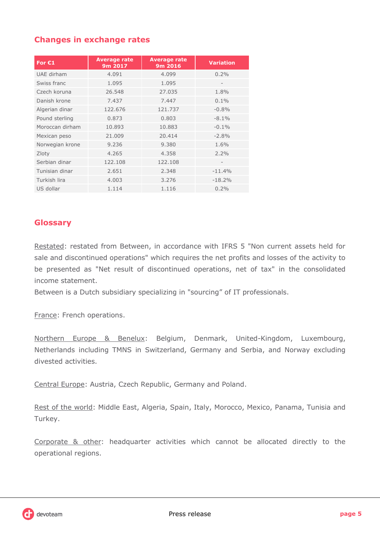## **Changes in exchange rates**

| For $C1$        | Average rate<br>9m 2017 | <b>Average rate</b><br>9m 2016 | <b>Variation</b>         |
|-----------------|-------------------------|--------------------------------|--------------------------|
| UAE dirham      | 4.091                   | 4.099                          | 0.2%                     |
| Swiss franc     | 1.095                   | 1.095                          | $\qquad \qquad -$        |
| Czech koruna    | 26.548                  | 27.035                         | 1.8%                     |
| Danish krone    | 7.437                   | 7.447                          | 0.1%                     |
| Algerian dinar  | 122.676                 | 121.737                        | $-0.8%$                  |
| Pound sterling  | 0.873                   | 0.803                          | $-8.1\%$                 |
| Moroccan dirham | 10.893                  | 10.883                         | $-0.1\%$                 |
| Mexican peso    | 21,009                  | 20.414                         | $-2.8%$                  |
| Norwegian krone | 9.236                   | 9.380                          | 1.6%                     |
| Zloty           | 4.265                   | 4.358                          | $2.2\%$                  |
| Serbian dinar   | 122.108                 | 122.108                        | $\overline{\phantom{0}}$ |
| Tunisian dinar  | 2.651                   | 2.348                          | $-11.4%$                 |
| Turkish lira    | 4.003                   | 3.276                          | $-18.2%$                 |
| US dollar       | 1.114                   | 1.116                          | 0.2%                     |

## **Glossary**

Restated: restated from Between, in accordance with IFRS 5 "Non current assets held for sale and discontinued operations" which requires the net profits and losses of the activity to be presented as "Net result of discontinued operations, net of tax" in the consolidated income statement.

Between is a Dutch subsidiary specializing in "sourcing" of IT professionals.

France: French operations.

Northern Europe & Benelux: Belgium, Denmark, United-Kingdom, Luxembourg, Netherlands including TMNS in Switzerland, Germany and Serbia, and Norway excluding divested activities.

Central Europe: Austria, Czech Republic, Germany and Poland.

Rest of the world: Middle East, Algeria, Spain, Italy, Morocco, Mexico, Panama, Tunisia and Turkey.

Corporate & other: headquarter activities which cannot be allocated directly to the operational regions.

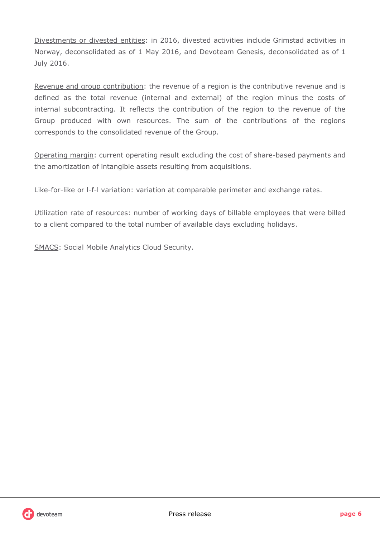Divestments or divested entities: in 2016, divested activities include Grimstad activities in Norway, deconsolidated as of 1 May 2016, and Devoteam Genesis, deconsolidated as of 1 July 2016.

Revenue and group contribution: the revenue of a region is the contributive revenue and is defined as the total revenue (internal and external) of the region minus the costs of internal subcontracting. It reflects the contribution of the region to the revenue of the Group produced with own resources. The sum of the contributions of the regions corresponds to the consolidated revenue of the Group.

Operating margin: current operating result excluding the cost of share-based payments and the amortization of intangible assets resulting from acquisitions.

Like-for-like or l-f-l variation: variation at comparable perimeter and exchange rates.

Utilization rate of resources: number of working days of billable employees that were billed to a client compared to the total number of available days excluding holidays.

SMACS: Social Mobile Analytics Cloud Security.